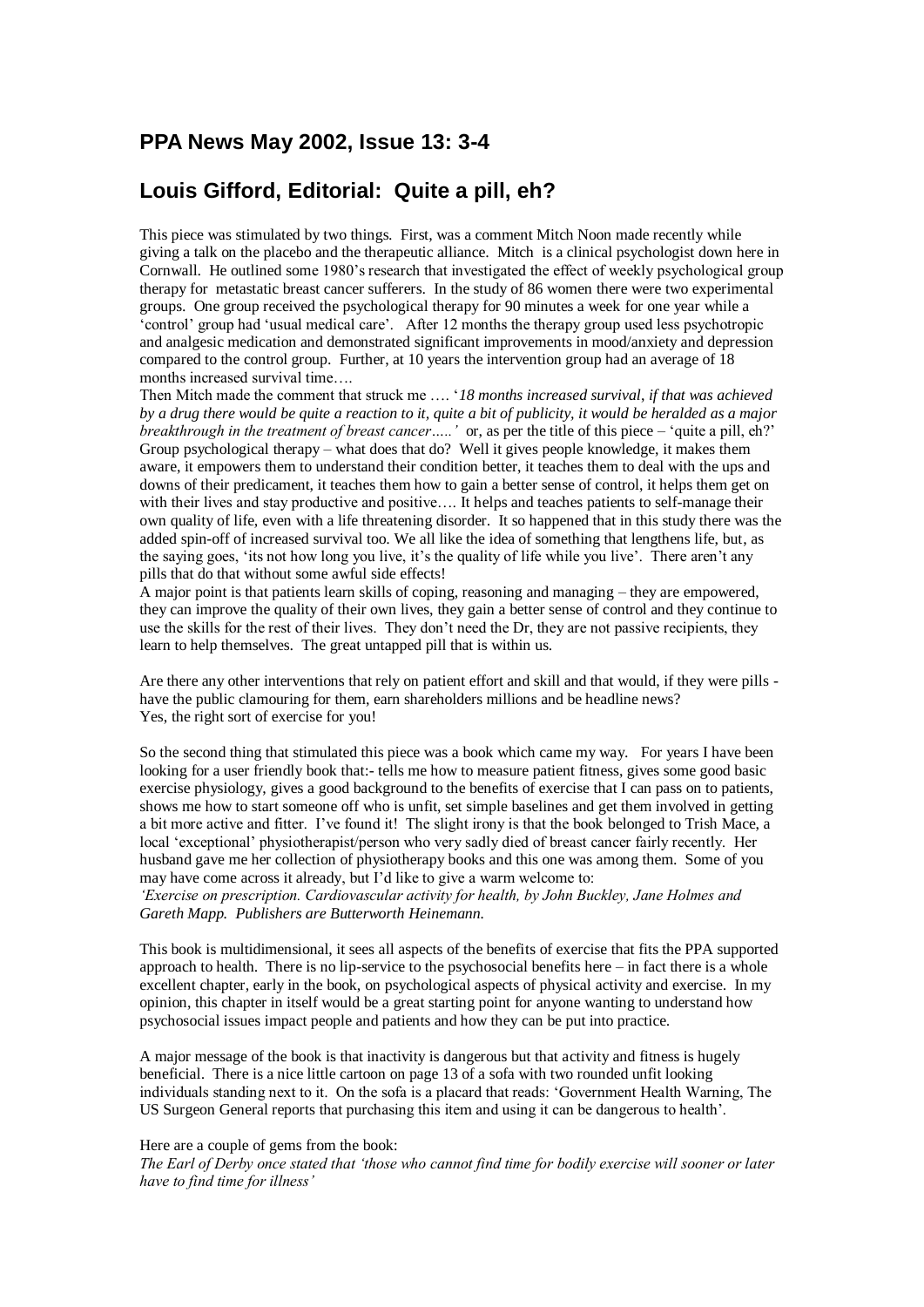## **PPA News May 2002, Issue 13: 3-4**

## **Louis Gifford, Editorial: Quite a pill, eh?**

This piece was stimulated by two things. First, was a comment Mitch Noon made recently while giving a talk on the placebo and the therapeutic alliance. Mitch is a clinical psychologist down here in Cornwall. He outlined some 1980's research that investigated the effect of weekly psychological group therapy for metastatic breast cancer sufferers. In the study of 86 women there were two experimental groups. One group received the psychological therapy for 90 minutes a week for one year while a 'control' group had 'usual medical care'. After 12 months the therapy group used less psychotropic and analgesic medication and demonstrated significant improvements in mood/anxiety and depression compared to the control group. Further, at 10 years the intervention group had an average of 18 months increased survival time….

Then Mitch made the comment that struck me …. '*18 months increased survival*, *if that was achieved by a drug there would be quite a reaction to it, quite a bit of publicity, it would be heralded as a major breakthrough in the treatment of breast cancer…..'* or, as per the title of this piece – 'quite a pill, eh?' Group psychological therapy – what does that do? Well it gives people knowledge, it makes them aware, it empowers them to understand their condition better, it teaches them to deal with the ups and downs of their predicament, it teaches them how to gain a better sense of control, it helps them get on with their lives and stay productive and positive.... It helps and teaches patients to self-manage their own quality of life, even with a life threatening disorder. It so happened that in this study there was the added spin-off of increased survival too. We all like the idea of something that lengthens life, but, as the saying goes, 'its not how long you live, it's the quality of life while you live'. There aren't any pills that do that without some awful side effects!

A major point is that patients learn skills of coping, reasoning and managing – they are empowered, they can improve the quality of their own lives, they gain a better sense of control and they continue to use the skills for the rest of their lives. They don't need the Dr, they are not passive recipients, they learn to help themselves. The great untapped pill that is within us.

Are there any other interventions that rely on patient effort and skill and that would, if they were pills have the public clamouring for them, earn shareholders millions and be headline news? Yes, the right sort of exercise for you!

So the second thing that stimulated this piece was a book which came my way. For years I have been looking for a user friendly book that:- tells me how to measure patient fitness, gives some good basic exercise physiology, gives a good background to the benefits of exercise that I can pass on to patients, shows me how to start someone off who is unfit, set simple baselines and get them involved in getting a bit more active and fitter. I've found it! The slight irony is that the book belonged to Trish Mace, a local 'exceptional' physiotherapist/person who very sadly died of breast cancer fairly recently. Her husband gave me her collection of physiotherapy books and this one was among them. Some of you may have come across it already, but I'd like to give a warm welcome to:

*'Exercise on prescription. Cardiovascular activity for health, by John Buckley, Jane Holmes and Gareth Mapp. Publishers are Butterworth Heinemann.*

This book is multidimensional, it sees all aspects of the benefits of exercise that fits the PPA supported approach to health. There is no lip-service to the psychosocial benefits here – in fact there is a whole excellent chapter, early in the book, on psychological aspects of physical activity and exercise. In my opinion, this chapter in itself would be a great starting point for anyone wanting to understand how psychosocial issues impact people and patients and how they can be put into practice.

A major message of the book is that inactivity is dangerous but that activity and fitness is hugely beneficial. There is a nice little cartoon on page 13 of a sofa with two rounded unfit looking individuals standing next to it. On the sofa is a placard that reads: 'Government Health Warning, The US Surgeon General reports that purchasing this item and using it can be dangerous to health'.

## Here are a couple of gems from the book:

*The Earl of Derby once stated that 'those who cannot find time for bodily exercise will sooner or later have to find time for illness'*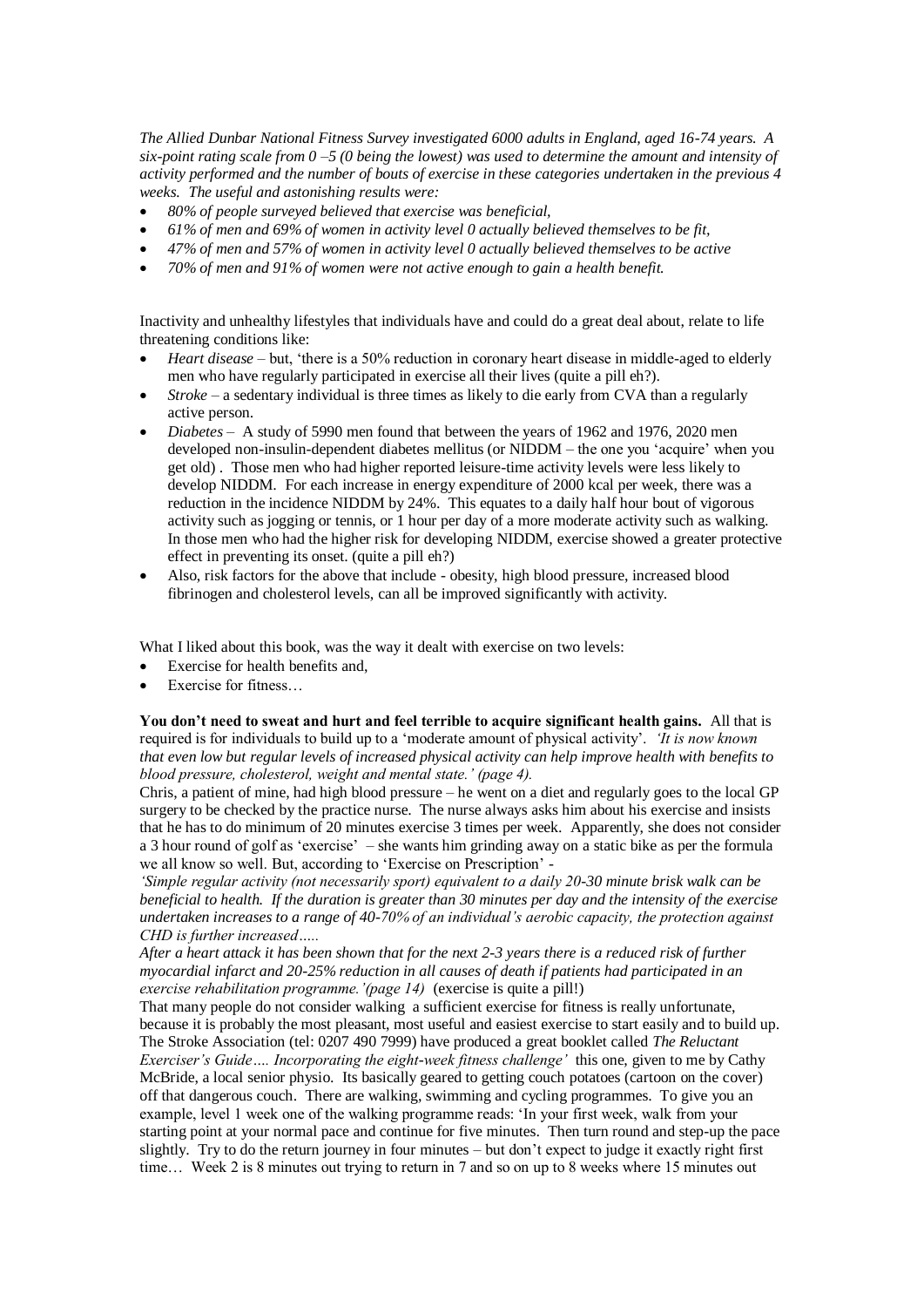*The Allied Dunbar National Fitness Survey investigated 6000 adults in England, aged 16-74 years. A six-point rating scale from 0 –5 (0 being the lowest) was used to determine the amount and intensity of activity performed and the number of bouts of exercise in these categories undertaken in the previous 4 weeks. The useful and astonishing results were:*

- *80% of people surveyed believed that exercise was beneficial,*
- *61% of men and 69% of women in activity level 0 actually believed themselves to be fit,*
- *47% of men and 57% of women in activity level 0 actually believed themselves to be active*
- *70% of men and 91% of women were not active enough to gain a health benefit.*

Inactivity and unhealthy lifestyles that individuals have and could do a great deal about, relate to life threatening conditions like:

- *Heart disease* but, 'there is a 50% reduction in coronary heart disease in middle-aged to elderly men who have regularly participated in exercise all their lives (quite a pill eh?).
- *Stroke* a sedentary individual is three times as likely to die early from CVA than a regularly active person.
- *Diabetes* A study of 5990 men found that between the years of 1962 and 1976, 2020 men developed non-insulin-dependent diabetes mellitus (or NIDDM – the one you 'acquire' when you get old) . Those men who had higher reported leisure-time activity levels were less likely to develop NIDDM. For each increase in energy expenditure of 2000 kcal per week, there was a reduction in the incidence NIDDM by 24%. This equates to a daily half hour bout of vigorous activity such as jogging or tennis, or 1 hour per day of a more moderate activity such as walking. In those men who had the higher risk for developing NIDDM, exercise showed a greater protective effect in preventing its onset. (quite a pill eh?)
- Also, risk factors for the above that include obesity, high blood pressure, increased blood fibrinogen and cholesterol levels, can all be improved significantly with activity.

What I liked about this book, was the way it dealt with exercise on two levels:

- Exercise for health benefits and,
- Exercise for fitness…

**You don't need to sweat and hurt and feel terrible to acquire significant health gains.** All that is required is for individuals to build up to a 'moderate amount of physical activity'. *'It is now known that even low but regular levels of increased physical activity can help improve health with benefits to blood pressure, cholesterol, weight and mental state.' (page 4).*

Chris, a patient of mine, had high blood pressure – he went on a diet and regularly goes to the local GP surgery to be checked by the practice nurse. The nurse always asks him about his exercise and insists that he has to do minimum of 20 minutes exercise 3 times per week. Apparently, she does not consider a 3 hour round of golf as 'exercise' – she wants him grinding away on a static bike as per the formula we all know so well. But, according to 'Exercise on Prescription' -

*'Simple regular activity (not necessarily sport) equivalent to a daily 20-30 minute brisk walk can be beneficial to health. If the duration is greater than 30 minutes per day and the intensity of the exercise undertaken increases to a range of 40-70% of an individual's aerobic capacity, the protection against CHD is further increased…..* 

*After a heart attack it has been shown that for the next 2-3 years there is a reduced risk of further myocardial infarct and 20-25% reduction in all causes of death if patients had participated in an exercise rehabilitation programme.'(page 14)* (exercise is quite a pill!)

That many people do not consider walking a sufficient exercise for fitness is really unfortunate, because it is probably the most pleasant, most useful and easiest exercise to start easily and to build up. The Stroke Association (tel: 0207 490 7999) have produced a great booklet called *The Reluctant Exerciser's Guide…. Incorporating the eight-week fitness challenge'* this one, given to me by Cathy McBride, a local senior physio. Its basically geared to getting couch potatoes (cartoon on the cover) off that dangerous couch. There are walking, swimming and cycling programmes. To give you an example, level 1 week one of the walking programme reads: 'In your first week, walk from your starting point at your normal pace and continue for five minutes. Then turn round and step-up the pace slightly. Try to do the return journey in four minutes – but don't expect to judge it exactly right first time… Week 2 is 8 minutes out trying to return in 7 and so on up to 8 weeks where 15 minutes out